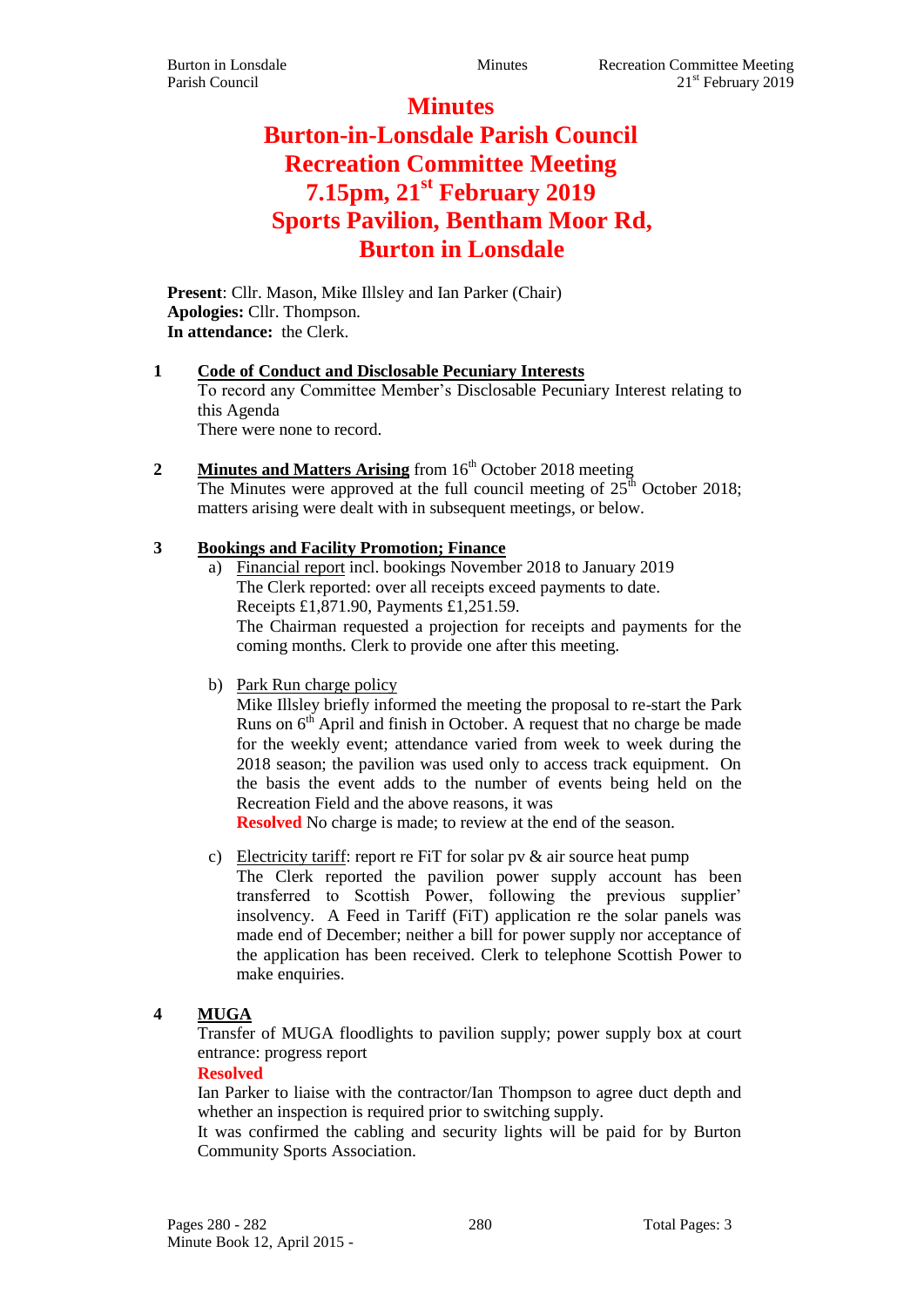**Minutes Burton-in-Lonsdale Parish Council Recreation Committee Meeting 7.15pm, 21st February 2019 Sports Pavilion, Bentham Moor Rd, Burton in Lonsdale**

**Present**: Cllr. Mason, Mike Illsley and Ian Parker (Chair) **Apologies:** Cllr. Thompson. **In attendance:** the Clerk.

#### **1 Code of Conduct and Disclosable Pecuniary Interests**

To record any Committee Member's Disclosable Pecuniary Interest relating to this Agenda

There were none to record.

**2 Minutes and Matters Arising** from 16<sup>th</sup> October 2018 meeting The Minutes were approved at the full council meeting of  $25<sup>th</sup>$  October 2018; matters arising were dealt with in subsequent meetings, or below.

### **3 Bookings and Facility Promotion; Finance**

- Financial report incl. bookings November 2018 to January 2019 The Clerk reported: over all receipts exceed payments to date. Receipts £1,871.90, Payments £1,251.59. The Chairman requested a projection for receipts and payments for the coming months. Clerk to provide one after this meeting.
- b) Park Run charge policy

Mike Illsley briefly informed the meeting the proposal to re-start the Park Runs on  $6<sup>th</sup>$  April and finish in October. A request that no charge be made for the weekly event; attendance varied from week to week during the 2018 season; the pavilion was used only to access track equipment. On the basis the event adds to the number of events being held on the Recreation Field and the above reasons, it was

**Resolved** No charge is made; to review at the end of the season.

c) Electricity tariff: report re FiT for solar pv  $\&$  air source heat pump The Clerk reported the pavilion power supply account has been transferred to Scottish Power, following the previous supplier' insolvency. A Feed in Tariff (FiT) application re the solar panels was made end of December; neither a bill for power supply nor acceptance of the application has been received. Clerk to telephone Scottish Power to make enquiries.

# **4 MUGA**

Transfer of MUGA floodlights to pavilion supply; power supply box at court entrance: progress report

### **Resolved**

Ian Parker to liaise with the contractor/Ian Thompson to agree duct depth and whether an inspection is required prior to switching supply.

It was confirmed the cabling and security lights will be paid for by Burton Community Sports Association.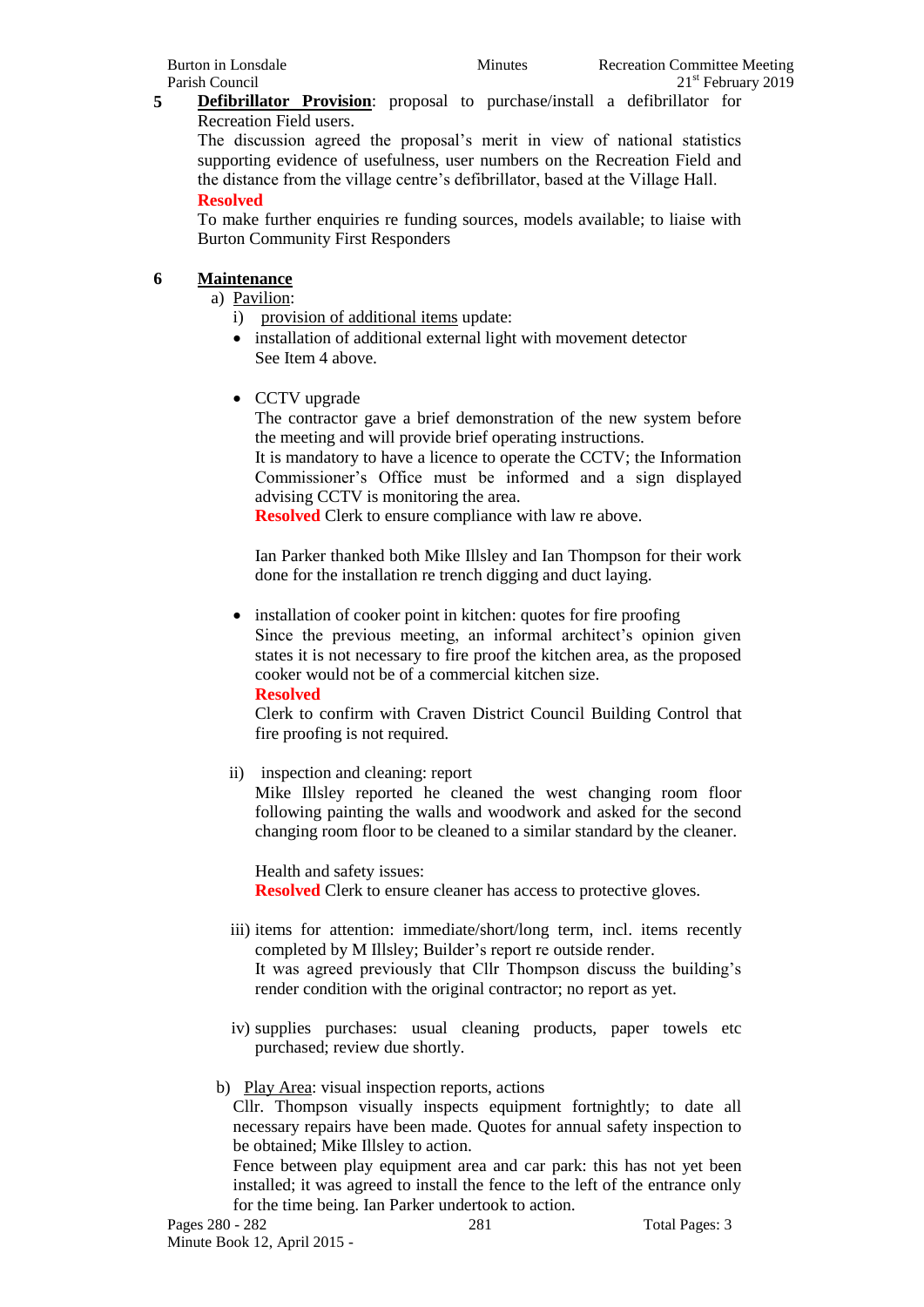**5 Defibrillator Provision**: proposal to purchase/install a defibrillator for Recreation Field users.

The discussion agreed the proposal's merit in view of national statistics supporting evidence of usefulness, user numbers on the Recreation Field and the distance from the village centre's defibrillator, based at the Village Hall. **Resolved**

To make further enquiries re funding sources, models available; to liaise with Burton Community First Responders

## **6 Maintenance**

a) Pavilion:

- i) provision of additional items update:
- installation of additional external light with movement detector See Item 4 above.
- CCTV upgrade

The contractor gave a brief demonstration of the new system before the meeting and will provide brief operating instructions.

It is mandatory to have a licence to operate the CCTV; the Information Commissioner's Office must be informed and a sign displayed advising CCTV is monitoring the area.

**Resolved** Clerk to ensure compliance with law re above.

Ian Parker thanked both Mike Illsley and Ian Thompson for their work done for the installation re trench digging and duct laying.

• installation of cooker point in kitchen: quotes for fire proofing Since the previous meeting, an informal architect's opinion given states it is not necessary to fire proof the kitchen area, as the proposed cooker would not be of a commercial kitchen size.

**Resolved**

Clerk to confirm with Craven District Council Building Control that fire proofing is not required.

ii) inspection and cleaning: report

Mike Illsley reported he cleaned the west changing room floor following painting the walls and woodwork and asked for the second changing room floor to be cleaned to a similar standard by the cleaner.

Health and safety issues: **Resolved** Clerk to ensure cleaner has access to protective gloves.

- iii) items for attention: immediate/short/long term, incl. items recently completed by M Illsley; Builder's report re outside render. It was agreed previously that Cllr Thompson discuss the building's render condition with the original contractor; no report as yet.
- iv) supplies purchases: usual cleaning products, paper towels etc purchased; review due shortly.

# b) Play Area: visual inspection reports, actions

Cllr. Thompson visually inspects equipment fortnightly; to date all necessary repairs have been made. Quotes for annual safety inspection to be obtained; Mike Illsley to action.

Fence between play equipment area and car park: this has not yet been installed; it was agreed to install the fence to the left of the entrance only for the time being. Ian Parker undertook to action.